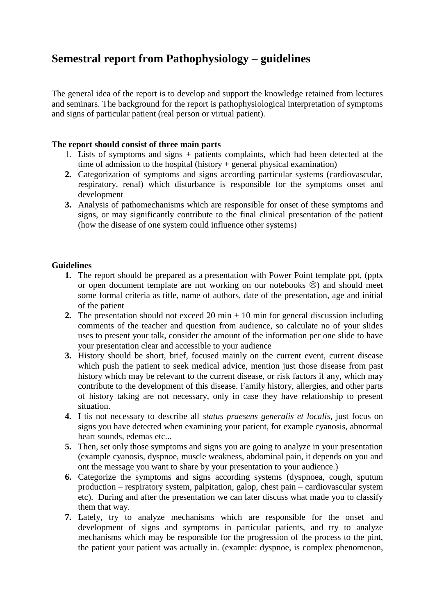## **Semestral report from Pathophysiology – guidelines**

The general idea of the report is to develop and support the knowledge retained from lectures and seminars. The background for the report is pathophysiological interpretation of symptoms and signs of particular patient (real person or virtual patient).

## **The report should consist of three main parts**

- 1. Lists of symptoms and signs + patients complaints, which had been detected at the time of admission to the hospital (history + general physical examination)
- **2.** Categorization of symptoms and signs according particular systems (cardiovascular, respiratory, renal) which disturbance is responsible for the symptoms onset and development
- **3.** Analysis of pathomechanisms which are responsible for onset of these symptoms and signs, or may significantly contribute to the final clinical presentation of the patient (how the disease of one system could influence other systems)

## **Guidelines**

- **1.** The report should be prepared as a presentation with Power Point template ppt, (pptx or open document template are not working on our notebooks  $\circledcirc$ ) and should meet some formal criteria as title, name of authors, date of the presentation, age and initial of the patient
- **2.** The presentation should not exceed 20 min  $+10$  min for general discussion including comments of the teacher and question from audience, so calculate no of your slides uses to present your talk, consider the amount of the information per one slide to have your presentation clear and accessible to your audience
- **3.** History should be short, brief, focused mainly on the current event, current disease which push the patient to seek medical advice, mention just those disease from past history which may be relevant to the current disease, or risk factors if any, which may contribute to the development of this disease. Family history, allergies, and other parts of history taking are not necessary, only in case they have relationship to present situation.
- **4.** I tis not necessary to describe all *status praesens generalis et localis,* just focus on signs you have detected when examining your patient, for example cyanosis, abnormal heart sounds, edemas etc...
- **5.** Then, set only those symptoms and signs you are going to analyze in your presentation (example cyanosis, dyspnoe, muscle weakness, abdominal pain, it depends on you and ont the message you want to share by your presentation to your audience.)
- **6.** Categorize the symptoms and signs according systems (dyspnoea, cough, sputum production – respiratory system, palpitation, galop, chest pain – cardiovascular system etc). During and after the presentation we can later discuss what made you to classify them that way.
- **7.** Lately, try to analyze mechanisms which are responsible for the onset and development of signs and symptoms in particular patients, and try to analyze mechanisms which may be responsible for the progression of the process to the pint, the patient your patient was actually in. (example: dyspnoe, is complex phenomenon,